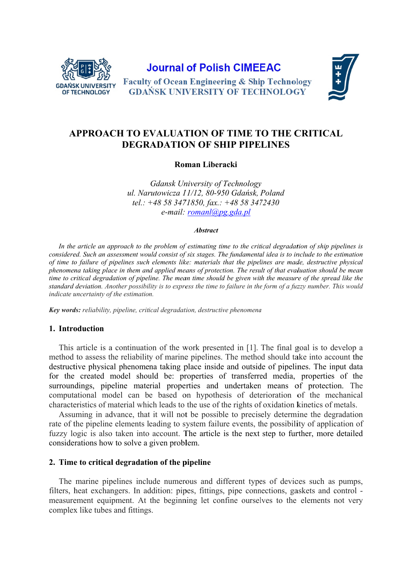

# **Journal of Polish CIMEEAC**





## APPROACH TO EVALUATION OF TIME TO THE CRITICAL **DEGRADATION OF SHIP PIPELINES**

### Roman Liberacki

**Gdansk University of Technology** ul. Narutowicza 11/12, 80-950 Gdańsk, Poland tel.: +48 58 3471850, fax.: +48 58 3472430 e-mail:  $round(\omega)pg$ .gda.pl

#### **Abstract**

In the article an approach to the problem of estimating time to the critical degradation of ship pipelines is considered. Such an assessment would consist of six stages. The fundamental idea is to include to the estimation of time to failure of pipelines such elements like: materials that the pipelines are made, destructive physical phenomena taking place in them and applied means of protection. The result of that evaluation should be mean time to critical degradation of pipeline. The mean time should be given with the measure of the spread like the standard deviation. Another possibility is to express the time to failure in the form of a fuzzy number. This would indicate uncertainty of the estimation.

Key words: reliability, pipeline, critical degradation, destructive phenomena

#### 1. Introduction

This article is a continuation of the work presented in [1]. The final goal is to develop a method to assess the reliability of marine pipelines. The method should take into account the destructive physical phenomena taking place inside and outside of pipelines. The input data for the created model should be: properties of transferred media, properties of the surroundings, pipeline material properties and undertaken means of protection. The computational model can be based on hypothesis of deterioration of the mechanical characteristics of material which leads to the use of the rights of oxidation kinetics of metals.

Assuming in advance, that it will not be possible to precisely determine the degradation rate of the pipeline elements leading to system failure events, the possibility of application of fuzzy logic is also taken into account. The article is the next step to further, more detailed considerations how to solve a given problem.

#### 2. Time to critical degradation of the pipeline

The marine pipelines include numerous and different types of devices such as pumps. filters, heat exchangers. In addition: pipes, fittings, pipe connections, gaskets and control measurement equipment. At the beginning let confine ourselves to the elements not very complex like tubes and fittings.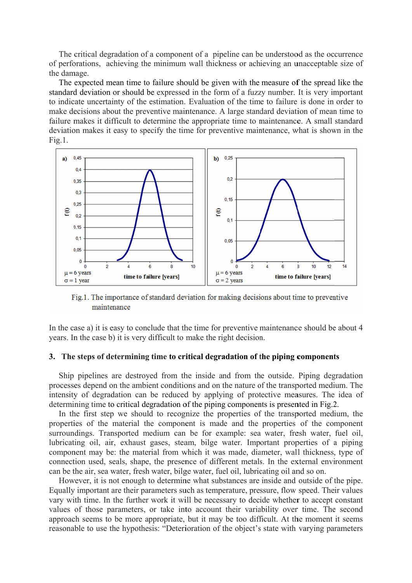The critical degradation of a component of a pipeline can be understood as the occurrence of perforations, achieving the minimum wall thickness or achieving an unacceptable size of the damage.

The expected mean time to failure should be given with the measure of the spread like the standard deviation or should be expressed in the form of a fuzzy number. It is very important to indicate uncertainty of the estimation. Evaluation of the time to failure is done in order to make decisions about the preventive maintenance. A large standard deviation of mean time to failure makes it difficult to determine the appropriate time to maintenance. A small standard deviation makes it easy to specify the time for preventive maintenance, what is shown in the  $Fig.1.$ 



Fig.1. The importance of standard deviation for making decisions about time to preventive maintenance

In the case a) it is easy to conclude that the time for preventive maintenance should be about 4 years. In the case b) it is very difficult to make the right decision.

#### 3. The steps of determining time to critical degradation of the piping components

Ship pipelines are destroyed from the inside and from the outside. Piping degradation processes depend on the ambient conditions and on the nature of the transported medium. The intensity of degradation can be reduced by applying of protective measures. The idea of determining time to critical degradation of the piping components is presented in Fig.2.

In the first step we should to recognize the properties of the transported medium, the properties of the material the component is made and the properties of the component surroundings. Transported medium can be for example: sea water, fresh water, fuel oil, lubricating oil, air, exhaust gases, steam, bilge water. Important properties of a piping component may be: the material from which it was made, diameter, wall thickness, type of connection used, seals, shape, the presence of different metals. In the external environment can be the air, sea water, fresh water, bilge water, fuel oil, lubricating oil and so on.

However, it is not enough to determine what substances are inside and outside of the pipe. Equally important are their parameters such as temperature, pressure, flow speed. Their values vary with time. In the further work it will be necessary to decide whether to accept constant values of those parameters, or take into account their variability over time. The second approach seems to be more appropriate, but it may be too difficult. At the moment it seems reasonable to use the hypothesis: "Deterioration of the object's state with varying parameters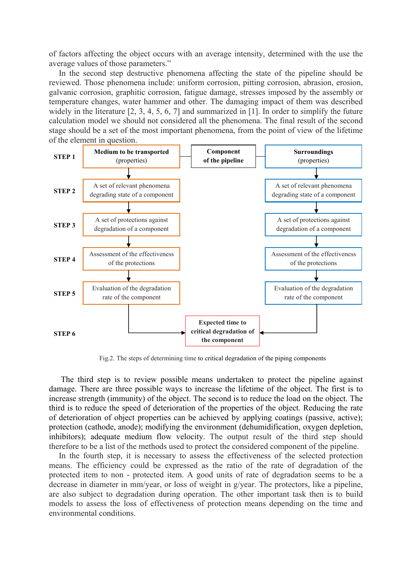of factors affecting the object occurs with an average intensity, determined with the use the average values of those parameters."

In the second step destructive phenomena affecting the state of the pipeline should be reviewed. Those phenomena include: uniform corrosion, pitting corrosion, abrasion, erosion, galvanic corrosion, graphitic corrosion, fatigue damage, stresses imposed by the assembly or temperature changes, water hammer and other. The damaging impact of them was described widely in the literature [2, 3, 4, 5, 6, 7] and summarized in [1]. In order to simplify the future calculation model we should not considered all the phenomena. The final result of the second stage should be a set of the most important phenomena, from the point of view of the lifetime of the element in question.



Fig.2. The steps of determining time to critical degradation of the piping components

 The third step is to review possible means undertaken to protect the pipeline against damage. There are three possible ways to increase the lifetime of the object. The first is to increase strength (immunity) of the object. The second is to reduce the load on the object. The third is to reduce the speed of deterioration of the properties of the object. Reducing the rate of deterioration of object properties can be achieved by applying coatings (passive, active); protection (cathode, anode); modifying the environment (dehumidification, oxygen depletion, inhibitors); adequate medium flow velocity. The output result of the third step should therefore to be a list of the methods used to protect the considered component of the pipeline.

In the fourth step, it is necessary to assess the effectiveness of the selected protection means. The efficiency could be expressed as the ratio of the rate of degradation of the protected item to non - protected item. A good units of rate of degradation seems to be a decrease in diameter in mm/year, or loss of weight in g/year. The protectors, like a pipeline, are also subject to degradation during operation. The other important task then is to build models to assess the loss of effectiveness of protection means depending on the time and environmental conditions.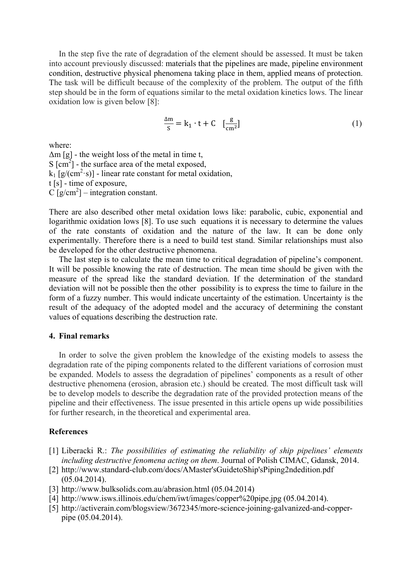In the step five the rate of degradation of the element should be assessed. It must be taken into account previously discussed: materials that the pipelines are made, pipeline environment condition, destructive physical phenomena taking place in them, applied means of protection. The task will be difficult because of the complexity of the problem. The output of the fifth step should be in the form of equations similar to the metal oxidation kinetics lows. The linear oxidation low is given below [8]:

$$
\frac{\Delta m}{s} = k_1 \cdot t + C \quad \left[\frac{g}{cm^2}\right] \tag{1}
$$

where:

 $\Delta m$  [g] - the weight loss of the metal in time t,  $S$  [cm<sup>2</sup>] - the surface area of the metal exposed,  $k_1$  [g/(cm<sup>2</sup>·s)] - linear rate constant for metal oxidation, t [s] - time of exposure,  $C$  [g/cm<sup>2</sup>] – integration constant.

There are also described other metal oxidation lows like: parabolic, cubic, exponential and logarithmic oxidation lows [8]. To use such equations it is necessary to determine the values of the rate constants of oxidation and the nature of the law. It can be done only experimentally. Therefore there is a need to build test stand. Similar relationships must also be developed for the other destructive phenomena.

The last step is to calculate the mean time to critical degradation of pipeline's component. It will be possible knowing the rate of destruction. The mean time should be given with the measure of the spread like the standard deviation. If the determination of the standard deviation will not be possible then the other possibility is to express the time to failure in the form of a fuzzy number. This would indicate uncertainty of the estimation. Uncertainty is the result of the adequacy of the adopted model and the accuracy of determining the constant values of equations describing the destruction rate.

#### **4. Final remarks**

In order to solve the given problem the knowledge of the existing models to assess the degradation rate of the piping components related to the different variations of corrosion must be expanded. Models to assess the degradation of pipelines' components as a result of other destructive phenomena (erosion, abrasion etc.) should be created. The most difficult task will be to develop models to describe the degradation rate of the provided protection means of the pipeline and their effectiveness. The issue presented in this article opens up wide possibilities for further research, in the theoretical and experimental area.

#### **References**

- [1] Liberacki R.: *The possibilities of estimating the reliability of ship pipelines' elements including destructive fenomena acting on them*. Journal of Polish CIMAC, Gdansk, 2014.
- [2] http://www.standard-club.com/docs/AMaster'sGuidetoShip'sPiping2ndedition.pdf (05.04.2014).
- [3] http://www.bulksolids.com.au/abrasion.html (05.04.2014)
- [4] http://www.isws.illinois.edu/chem/iwt/images/copper%20pipe.jpg (05.04.2014).
- [5] http://activerain.com/blogsview/3672345/more-science-joining-galvanized-and-copperpipe (05.04.2014).